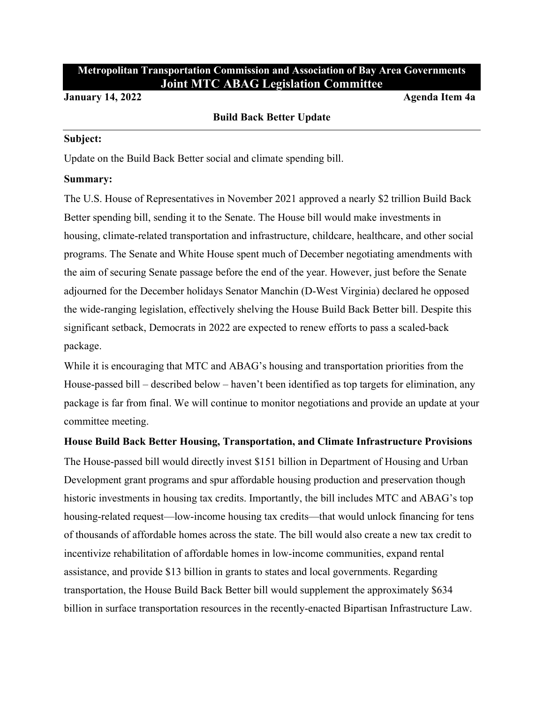# **Metropolitan Transportation Commission and Association of Bay Area Governments Joint MTC ABAG Legislation Committee**

#### **January 14, 2022 Agenda Item 4a**

#### **Build Back Better Update**

#### **Subject:**

Update on the Build Back Better social and climate spending bill.

#### **Summary:**

The U.S. House of Representatives in November 2021 approved a nearly \$2 trillion Build Back Better spending bill, sending it to the Senate. The House bill would make investments in housing, climate-related transportation and infrastructure, childcare, healthcare, and other social programs. The Senate and White House spent much of December negotiating amendments with the aim of securing Senate passage before the end of the year. However, just before the Senate adjourned for the December holidays Senator Manchin (D-West Virginia) declared he opposed the wide-ranging legislation, effectively shelving the House Build Back Better bill. Despite this significant setback, Democrats in 2022 are expected to renew efforts to pass a scaled-back package.

While it is encouraging that MTC and ABAG's housing and transportation priorities from the House-passed bill – described below – haven't been identified as top targets for elimination, any package is far from final. We will continue to monitor negotiations and provide an update at your committee meeting.

## **House Build Back Better Housing, Transportation, and Climate Infrastructure Provisions**

The House-passed bill would directly invest \$151 billion in Department of Housing and Urban Development grant programs and spur affordable housing production and preservation though historic investments in housing tax credits. Importantly, the bill includes MTC and ABAG's top housing-related request—low-income housing tax credits—that would unlock financing for tens of thousands of affordable homes across the state. The bill would also create a new tax credit to incentivize rehabilitation of affordable homes in low-income communities, expand rental assistance, and provide \$13 billion in grants to states and local governments. Regarding transportation, the House Build Back Better bill would supplement the approximately \$634 billion in surface transportation resources in the recently-enacted Bipartisan Infrastructure Law.